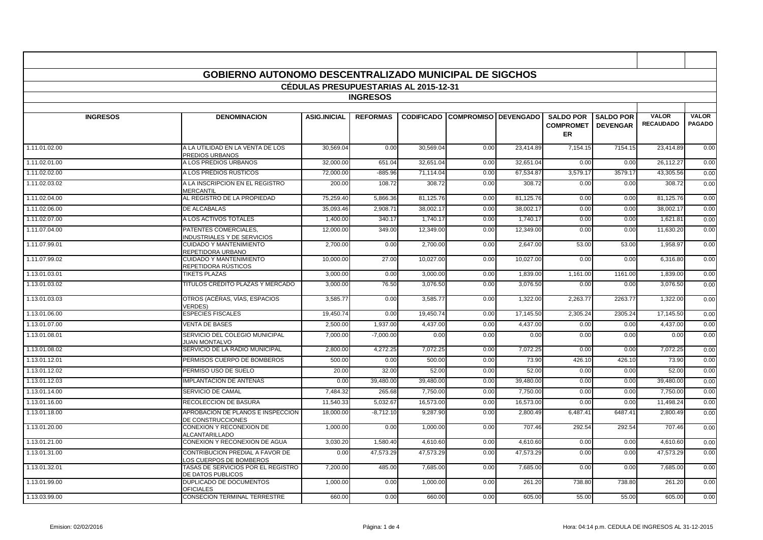|                                              | <b>GOBIERNO AUTONOMO DESCENTRALIZADO MUNICIPAL DE SIGCHOS</b> |                     |                 |                   |                             |           |                                            |                                     |                           |                               |
|----------------------------------------------|---------------------------------------------------------------|---------------------|-----------------|-------------------|-----------------------------|-----------|--------------------------------------------|-------------------------------------|---------------------------|-------------------------------|
| <b>CEDULAS PRESUPUESTARIAS AL 2015-12-31</b> |                                                               |                     |                 |                   |                             |           |                                            |                                     |                           |                               |
|                                              |                                                               |                     | <b>INGRESOS</b> |                   |                             |           |                                            |                                     |                           |                               |
|                                              |                                                               |                     |                 |                   |                             |           |                                            |                                     |                           |                               |
| <b>INGRESOS</b>                              | <b>DENOMINACION</b>                                           | <b>ASIG.INICIAL</b> | <b>REFORMAS</b> | <b>CODIFICADO</b> | <b>COMPROMISO DEVENGADO</b> |           | <b>SALDO POR</b><br><b>COMPROMET</b><br>ER | <b>SALDO POR</b><br><b>DEVENGAR</b> | VALOR<br><b>RECAUDADO</b> | <b>VALOR</b><br><b>PAGADO</b> |
| 1.11.01.02.00                                | A LA UTILIDAD EN LA VENTA DE LOS<br>PREDIOS URBANOS           | 30,569.04           | 0.00            | 30,569.04         | 0.00                        | 23,414.89 | 7,154.15                                   | 7154.15                             | 23,414.89                 | 0.00                          |
| 1.11.02.01.00                                | A LOS PREDIOS URBANOS                                         | 32.000.00           | 651.04          | 32.651.04         | 0.00                        | 32.651.04 | 0.00                                       | 0.00                                | 26.112.27                 | 0.00                          |
| 1.11.02.02.00                                | A LOS PREDIOS RÚSTICOS                                        | 72.000.00           | $-885.96$       | 71.114.04         | 0.00                        | 67.534.87 | 3.579.17                                   | 3579.17                             | 43.305.56                 | 0.00                          |
| 1.11.02.03.02                                | A LA INSCRIPCION EN EL REGISTRO<br><b>MERCANTIL</b>           | 200.00              | 108.72          | 308.72            | 0.00                        | 308.72    | 0.00                                       | 0.00                                | 308.72                    | 0.00                          |
| 1.11.02.04.00                                | AL REGISTRO DE LA PROPIEDAD                                   | 75,259.40           | 5,866.36        | 81,125.76         | 0.00                        | 81,125.76 | 0.00                                       | 0.00                                | 81,125.76                 | 0.00                          |
| 1.11.02.06.00                                | DE ALCABALAS                                                  | 35.093.46           | 2.908.7         | 38.002.17         | 0.00                        | 38.002.17 | 0.00                                       | 0.00                                | 38.002.1                  | 0.00                          |
| 1.11.02.07.00                                | A LOS ACTIVOS TOTALES                                         | 1,400.00            | 340.17          | 1.740.17          | 0.00                        | 1.740.17  | 0.00                                       | 0.00                                | 1,621.81                  | 0.00                          |
| 1.11.07.04.00                                | PATENTES COMERCIALES.<br>INDUSTRIALES Y DE SERVICIOS          | 12.000.00           | 349.00          | 12.349.00         | 0.00                        | 12.349.00 | 0.00                                       | 0.00                                | 11,630.20                 | 0.00                          |
| 1.11.07.99.01                                | <b>CUIDADO Y MANTENIMIENTO</b><br>REPETIDORA URBANO           | 2,700.00            | 0.00            | 2,700.00          | 0.00                        | 2,647.00  | 53.00                                      | 53.00                               | 1,958.97                  | 0.00                          |
| 1.11.07.99.02                                | <b>CUIDADO Y MANTENIMIENTO</b><br>REPETIDORA RÚSTICOS         | 10,000.00           | 27.00           | 10,027.00         | 0.00                        | 10,027.00 | 0.00                                       | 0.00                                | 6,316.80                  | 0.00                          |
| 1.13.01.03.01                                | <b>TIKETS PLAZAS</b>                                          | 3,000.00            | 0.00            | 3,000.00          | 0.00                        | 1,839.00  | 1,161.00                                   | 1161.00                             | 1,839.00                  | 0.00                          |
| 1.13.01.03.02                                | TÍTULOS CRÉDITO PLAZAS Y MERCADO                              | 3,000.00            | 76.50           | 3,076.50          | 0.00                        | 3,076.50  | 0.00                                       | 0.00                                | 3,076.50                  | 0.00                          |
| 1.13.01.03.03                                | OTROS (ACÉRAS, VÍAS, ESPACIOS<br><b>VERDES)</b>               | 3,585.77            | 0.00            | 3,585.77          | 0.00                        | 1,322.00  | 2,263.77                                   | 2263.77                             | 1,322.00                  | 0.00                          |
| 1.13.01.06.00                                | <b>ESPECIES FISCALES</b>                                      | 19.450.74           | 0.00            | 19.450.74         | 0.00                        | 17,145.50 | 2.305.24                                   | 2305.24                             | 17.145.50                 | 0.00                          |
| 1.13.01.07.00                                | <b>VENTA DE BASES</b>                                         | 2.500.00            | 1,937.00        | 4,437.00          | 0.00                        | 4,437.00  | 0.00                                       | 0.00                                | 4,437.00                  | 0.00                          |
| 1.13.01.08.01                                | SERVICIO DEL COLEGIO MUNICIPAL<br><b>JUAN MONTALVO</b>        | 7.000.00            | $-7.000.00$     | 0.00              | 0.00                        | 0.00      | 0.00                                       | 0.00                                | 0.00                      | 0.00                          |
| 1.13.01.08.02                                | SERVICIO DE LA RADIO MUNICIPAL                                | 2.800.00            | 4,272.25        | 7,072.25          | 0.00                        | 7,072.25  | 0.00                                       | 0.00                                | 7,072.25                  | 0.00                          |
| 1.13.01.12.01                                | PERMISOS CUERPO DE BOMBEROS                                   | 500.00              | 0.00            | 500.00            | 0.00                        | 73.90     | 426.10                                     | 426.10                              | 73.90                     | 0.00                          |
| 1.13.01.12.02                                | PERMISO USO DE SUELO                                          | 20.00               | 32.00           | 52.00             | 0.00                        | 52.00     | 0.00                                       | 0.00                                | 52.00                     | 0.00                          |
| 1.13.01.12.03                                | <b>IMPLANTACION DE ANTENAS</b>                                | 0.00                | 39,480.00       | 39,480.00         | 0.00                        | 39,480.00 | 0.00                                       | 0.00                                | 39,480.00                 | 0.00                          |
| 1.13.01.14.00                                | SERVICIO DE CAMAL                                             | 7,484.32            | 265.68          | 7,750.00          | 0.00                        | 7,750.00  | 0.00                                       | 0.00                                | 7,750.00                  | 0.00                          |
| 1.13.01.16.00                                | RECOLECCION DE BASURA                                         | 11,540.33           | 5,032.67        | 16,573.00         | 0.00                        | 16,573.00 | 0.00                                       | 0.00                                | 11,498.24                 | 0.00                          |
| 1.13.01.18.00                                | APROBACION DE PLANOS E INSPECCION<br>DE CONSTRUCCIONES        | 18,000.00           | $-8,712.10$     | 9,287.90          | 0.00                        | 2,800.49  | 6,487.41                                   | 6487.41                             | 2,800.49                  | 0.00                          |
| 1.13.01.20.00                                | CONEXION Y RECONEXION DE<br><b>ALCANTARILLADO</b>             | 1,000.00            | 0.00            | 1,000.00          | 0.00                        | 707.46    | 292.54                                     | 292.54                              | 707.46                    | 0.00                          |
| 1.13.01.21.00                                | CONEXION Y RECONEXION DE AGUA                                 | 3,030.20            | 1,580.40        | 4,610.60          | 0.00                        | 4,610.60  | 0.00                                       | 0.00                                | 4,610.60                  | 0.00                          |
| 1.13.01.31.00                                | CONTRIBUCION PREDIAL A FAVOR DE<br>LOS CUERPOS DE BOMBEROS    | 0.00                | 47,573.29       | 47,573.29         | 0.00                        | 47,573.29 | 0.00                                       | 0.00                                | 47,573.29                 | 0.00                          |
| 1.13.01.32.01                                | TASAS DE SERVICIOS POR EL REGISTRO<br>DE DATOS PUBLICOS       | 7,200.00            | 485.00          | 7,685.00          | 0.00                        | 7,685.00  | 0.00                                       | 0.00                                | 7,685.00                  | 0.00                          |
| 1.13.01.99.00                                | DUPLICADO DE DOCUMENTOS<br><b>OFICIALES</b>                   | 1.000.00            | 0.00            | 1.000.00          | 0.00                        | 261.20    | 738.80                                     | 738.80                              | 261.20                    | 0.00                          |
| 1.13.03.99.00                                | CONSECION TERMINAL TERRESTRE                                  | 660.00              | 0.00            | 660.00            | 0.00                        | 605.00    | 55.00                                      | 55.00                               | 605.00                    | 0.00                          |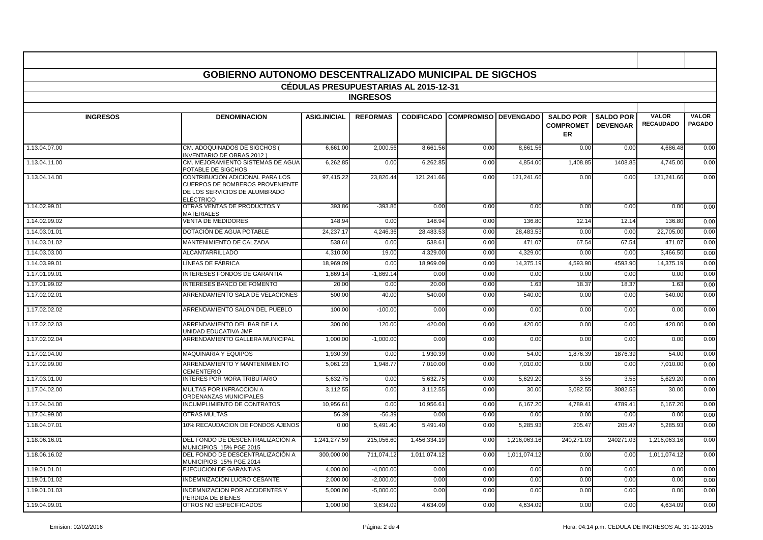|                                              | <b>GOBIERNO AUTONOMO DESCENTRALIZADO MUNICIPAL DE SIGCHOS</b>                                                           |                     |                 |              |                                        |              |                                      |                                     |                                  |                               |
|----------------------------------------------|-------------------------------------------------------------------------------------------------------------------------|---------------------|-----------------|--------------|----------------------------------------|--------------|--------------------------------------|-------------------------------------|----------------------------------|-------------------------------|
| <b>CEDULAS PRESUPUESTARIAS AL 2015-12-31</b> |                                                                                                                         |                     |                 |              |                                        |              |                                      |                                     |                                  |                               |
| <b>INGRESOS</b>                              |                                                                                                                         |                     |                 |              |                                        |              |                                      |                                     |                                  |                               |
| <b>INGRESOS</b>                              | <b>DENOMINACION</b>                                                                                                     | <b>ASIG.INICIAL</b> | <b>REFORMAS</b> |              | <b>CODIFICADO COMPROMISO DEVENGADO</b> |              | <b>SALDO POR</b><br><b>COMPROMET</b> | <b>SALDO POR</b><br><b>DEVENGAR</b> | <b>VALOR</b><br><b>RECAUDADO</b> | <b>VALOR</b><br><b>PAGADO</b> |
|                                              |                                                                                                                         |                     |                 |              |                                        |              | ER                                   |                                     |                                  |                               |
| 1.13.04.07.00                                | CM. ADOQUINADOS DE SIGCHOS (<br><b>INVENTARIO DE OBRAS 2012)</b>                                                        | 6,661.00            | 2,000.56        | 8,661.56     | 0.00                                   | 8,661.56     | 0.00                                 | 0.00                                | 4,686.48                         | 0.00                          |
| 1.13.04.11.00                                | CM. MEJORAMIENTO SISTEMAS DE AGUA<br>POTABLE DE SIGCHOS                                                                 | 6,262.85            | 0.00            | 6,262.85     | 0.00                                   | 4.854.00     | 1,408.85                             | 1408.85                             | 4,745.00                         | 0.00                          |
| 1.13.04.14.00                                | CONTRIBUCIÓN ADICIONAL PARA LOS<br>CUERPOS DE BOMBEROS PROVENIENTE<br>DE LOS SERVICIOS DE ALUMBRADO<br><b>ELÉCTRICO</b> | 97,415.22           | 23,826.44       | 121,241.66   | 0.00                                   | 121,241.66   | 0.00                                 | 0.00                                | 121,241.66                       | 0.00                          |
| 1.14.02.99.01                                | OTRAS VENTAS DE PRODUCTOS Y<br><b>MATERIALES</b>                                                                        | 393.86              | $-393.86$       | 0.00         | 0.00                                   | 0.00         | 0.00                                 | 0.00                                | 0.00                             | 0.00                          |
| 1.14.02.99.02                                | <b>VENTA DE MEDIDORES</b>                                                                                               | 148.94              | 0.00            | 148.94       | 0.00                                   | 136.80       | 12.14                                | 12.14                               | 136.80                           | 0.00                          |
| 1.14.03.01.01                                | DOTACIÓN DE AGUA POTABLE                                                                                                | 24,237.17           | 4,246.36        | 28,483.53    | 0.00                                   | 28,483.53    | 0.00                                 | 0.00                                | 22,705.00                        | 0.00                          |
| 1.14.03.01.02                                | MANTENIMIENTO DE CALZADA                                                                                                | 538.6               | 0.00            | 538.6        | 0.00                                   | 471.07       | 67.54                                | 67.54                               | 471.07                           | 0.00                          |
| 1.14.03.03.00                                | <b>ALCANTARRILLADO</b>                                                                                                  | 4,310.00            | 19.00           | 4,329.00     | 0.00                                   | 4,329.00     | 0.00                                 | 0.00                                | 3,466.50                         | 0.00                          |
| 1.14.03.99.01                                | LÍNEAS DE FÁBRICA                                                                                                       | 18.969.09           | 0.00            | 18,969.09    | 0.00                                   | 14,375.19    | 4,593.90                             | 4593.90                             | 14,375.19                        | 0.00                          |
| 1.17.01.99.01                                | <b>INTERESES FONDOS DE GARANTIA</b>                                                                                     | 1.869.14            | $-1,869.14$     | 0.00         | 0.00                                   | 0.00         | 0.00                                 | 0.00                                | 0.00                             | 0.00                          |
| 1.17.01.99.02                                | <b>INTERESES BANCO DE FOMENTO</b>                                                                                       | 20.00               | 0.00            | 20.00        | 0.00                                   | 1.63         | 18.37                                | 18.37                               | 1.63                             | 0.00                          |
| 1.17.02.02.01                                | ARRENDAMIENTO SALA DE VELACIONES                                                                                        | 500.00              | 40.00           | 540.00       | 0.00                                   | 540.00       | 0.00                                 | 0.00                                | 540.00                           | 0.00                          |
| 1.17.02.02.02                                | ARRENDAMIENTO SALON DEL PUEBLO                                                                                          | 100.00              | $-100.00$       | 0.00         | 0.00                                   | 0.00         | 0.00                                 | 0.00                                | 0.00                             | 0.00                          |
| 1.17.02.02.03                                | ARRENDAMIENTO DEL BAR DE LA<br>UNIDAD EDUCATIVA JMF                                                                     | 300.00              | 120.00          | 420.00       | 0.00                                   | 420.00       | 0.00                                 | 0.00                                | 420.00                           | 0.00                          |
| 1.17.02.02.04                                | ARRENDAMIENTO GALLERA MUNICIPAL                                                                                         | 1.000.00            | $-1.000.00$     | 0.00         | 0.00                                   | 0.00         | 0.00                                 | 0.00                                | 0.00                             | 0.00                          |
| 1.17.02.04.00                                | <b>MAQUINARIA Y EQUIPOS</b>                                                                                             | 1,930.39            | 0.00            | 1,930.39     | 0.00                                   | 54.00        | 1,876.39                             | 1876.39                             | 54.00                            | 0.00                          |
| 1.17.02.99.00                                | ARRENDAMIENTO Y MANTENIMIENTO<br><b>CEMENTERIO</b>                                                                      | 5,061.23            | 1,948.77        | 7,010.00     | 0.00                                   | 7,010.00     | 0.00                                 | 0.00                                | 7,010.00                         | 0.00                          |
| 1.17.03.01.00                                | <b>INTERES POR MORA TRIBUTARIO</b>                                                                                      | 5.632.7             | 0.00            | 5.632.75     | 0.00                                   | 5.629.20     | 3.55                                 | 3.55                                | 5.629.20                         | 0.00                          |
| 1.17.04.02.00                                | MULTAS POR INFRACCION A<br>ORDENANZAS MUNICIPALES                                                                       | 3,112.55            | 0.00            | 3,112.55     | 0.00                                   | 30.00        | 3,082.55                             | 3082.55                             | 30.00                            | 0.00                          |
| 1.17.04.04.00                                | INCUMPLIMIENTO DE CONTRATOS                                                                                             | 10,956.6            | 0.00            | 10,956.61    | 0.00                                   | 6,167.20     | 4,789.41                             | 4789.41                             | 6,167.20                         | 0.00                          |
| 1.17.04.99.00                                | <b>OTRAS MULTAS</b>                                                                                                     | 56.39               | $-56.39$        | 0.00         | 0.00                                   | 0.00         | 0.00                                 | 0.00                                | 0.00                             | 0.00                          |
| 1.18.04.07.01                                | 10% RECAUDACION DE FONDOS AJENOS                                                                                        | 0.00                | 5,491.40        | 5,491.40     | 0.00                                   | 5.285.93     | 205.47                               | 205.47                              | 5,285.93                         | 0.00                          |
| 1.18.06.16.01                                | DEL FONDO DE DESCENTRALIZACIÓN A<br>MUNICIPIOS 15% PGE 2015                                                             | 1,241,277.59        | 215,056.60      | 1,456,334.19 | 0.00                                   | 1,216,063.16 | 240,271.03                           | 240271.03                           | 1,216,063.16                     | 0.00                          |
| 1.18.06.16.02                                | DEL FONDO DE DESCENTRALIZACIÓN A<br>MUNICIPIOS 15% PGE 2014                                                             | 300,000.00          | 711,074.12      | 1,011,074.12 | 0.00                                   | 1,011,074.12 | 0.00                                 | 0.00                                | 1,011,074.12                     | 0.00                          |
| 1.19.01.01.01                                | EJECUCION DE GARANTIAS                                                                                                  | 4,000.00            | $-4,000.00$     | 0.00         | 0.00                                   | 0.00         | 0.00                                 | 0.00                                | 0.00                             | 0.00                          |
| 1.19.01.01.02                                | INDEMNIZACIÓN LUCRO CESANTE                                                                                             | 2.000.00            | $-2.000.00$     | 0.00         | 0.00                                   | 0.00         | 0.00                                 | 0.00                                | 0.00                             | 0.00                          |
| 1.19.01.01.03                                | <b>INDEMNIZACION POR ACCIDENTES Y</b><br>PERDIDA DE BIENES                                                              | 5.000.00            | $-5.000.00$     | 0.00         | 0.00                                   | 0.00         | 0.00                                 | 0.00                                | 0.00                             | 0.00                          |
| 1.19.04.99.01                                | OTROS NO ESPECIFICADOS                                                                                                  | 1,000.00            | 3,634.09        | 4,634.09     | 0.00                                   | 4,634.09     | 0.00                                 | 0.00                                | 4,634.09                         | 0.00                          |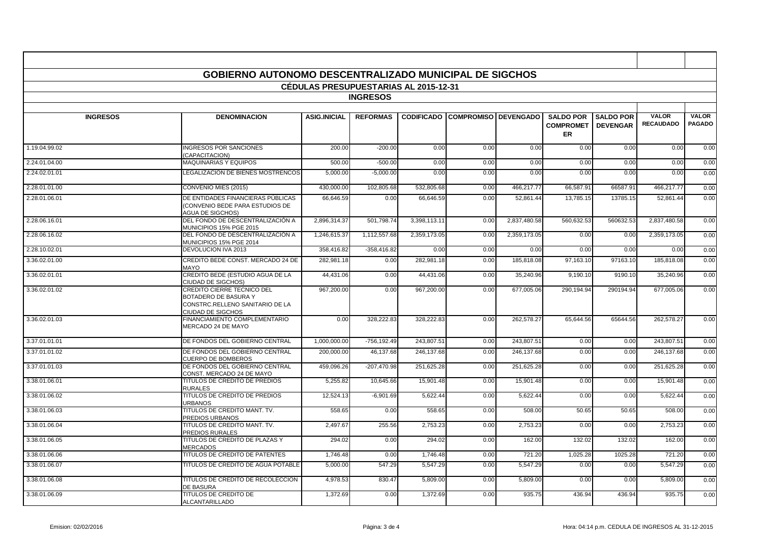|                 | <b>GOBIERNO AUTONOMO DESCENTRALIZADO MUNICIPAL DE SIGCHOS</b>                                                                   |                                              |                 |              |                                        |              |                                                   |                                     |                                  |                               |
|-----------------|---------------------------------------------------------------------------------------------------------------------------------|----------------------------------------------|-----------------|--------------|----------------------------------------|--------------|---------------------------------------------------|-------------------------------------|----------------------------------|-------------------------------|
|                 |                                                                                                                                 | <b>CEDULAS PRESUPUESTARIAS AL 2015-12-31</b> |                 |              |                                        |              |                                                   |                                     |                                  |                               |
|                 |                                                                                                                                 |                                              | <b>INGRESOS</b> |              |                                        |              |                                                   |                                     |                                  |                               |
|                 |                                                                                                                                 |                                              |                 |              |                                        |              |                                                   |                                     |                                  |                               |
| <b>INGRESOS</b> | <b>DENOMINACION</b>                                                                                                             | <b>ASIG.INICIAL</b>                          | <b>REFORMAS</b> |              | <b>CODIFICADO COMPROMISO DEVENGADO</b> |              | <b>SALDO POR</b><br><b>COMPROMET</b><br><b>ER</b> | <b>SALDO POR</b><br><b>DEVENGAR</b> | <b>VALOR</b><br><b>RECAUDADO</b> | <b>VALOR</b><br><b>PAGADO</b> |
| 1.19.04.99.02   | <b>INGRESOS POR SANCIONES</b><br>CAPACITACION)                                                                                  | 200.00                                       | $-200.00$       | 0.00         | 0.00                                   | 0.00         | 0.00                                              | 0.00                                | 0.00                             | 0.00                          |
| 2.24.01.04.00   | <b>MAQUINARIAS Y EQUIPOS</b>                                                                                                    | 500.00                                       | $-500.00$       | 0.00         | 0.00                                   | 0.00         | 0.00                                              | 0.00                                | 0.00                             | 0.00                          |
| 2.24.02.01.01   | LEGALIZACION DE BIENES MOSTRENCOS                                                                                               | 5,000.00                                     | $-5,000.00$     | 0.00         | 0.00                                   | 0.00         | 0.00                                              | 0.00                                | 0.00                             | 0.00                          |
| 2.28.01.01.00   | CONVENIO MIES (2015)                                                                                                            | 430,000.00                                   | 102,805.68      | 532,805.68   | 0.00                                   | 466.217.77   | 66,587.91                                         | 66587.91                            | 466.217.77                       | 0.00                          |
| 2.28.01.06.01   | DE ENTIDADES FINANCIERAS PÚBLICAS<br>(CONVENIO BEDE PARA ESTUDIOS DE<br><b>AGUA DE SIGCHOS)</b>                                 | 66.646.59                                    | 0.00            | 66.646.59    | 0.00                                   | 52.861.44    | 13.785.15                                         | 13785.15                            | 52.861.44                        | 0.00                          |
| 2.28.06.16.01   | DEL FONDO DE DESCENTRALIZACIÓN A<br>MUNICIPIOS 15% PGE 2015                                                                     | 2,896,314.37                                 | 501,798.74      | 3,398,113.11 | 0.00                                   | 2,837,480.58 | 560,632.53                                        | 560632.53                           | 2,837,480.58                     | 0.00                          |
| 2.28.06.16.02   | DEL FONDO DE DESCENTRALIZACIÓN A<br>MUNICIPIOS 15% PGE 2014                                                                     | 1,246,615.37                                 | 1,112,557.68    | 2,359,173.05 | 0.00                                   | 2,359,173.05 | 0.00                                              | 0.00                                | 2,359,173.05                     | 0.00                          |
| 2.28.10.02.01   | DEVOLUCION IVA 2013                                                                                                             | 358,416.82                                   | $-358,416.82$   | 0.00         | 0.00                                   | 0.00         | 0.00                                              | 0.00                                | 0.00                             | 0.00                          |
| 3.36.02.01.00   | CREDITO BEDE CONST. MERCADO 24 DE<br><b>MAYO</b>                                                                                | 282,981.18                                   | 0.00            | 282,981.18   | 0.00                                   | 185,818.08   | 97,163.10                                         | 97163.10                            | 185,818.08                       | 0.00                          |
| 3.36.02.01.01   | CREDITO BEDE (ESTUDIO AGUA DE LA<br>CIUDAD DE SIGCHOS)                                                                          | 44,431.06                                    | 0.00            | 44,431.06    | 0.00                                   | 35,240.96    | 9,190.10                                          | 9190.10                             | 35,240.96                        | 0.00                          |
| 3.36.02.01.02   | <b>CREDITO CIERRE TECNICO DEL</b><br><b>BOTADERO DE BASURA Y</b><br>CONSTRC.RELLENO SANITARIO DE LA<br><b>CIUDAD DE SIGCHOS</b> | 967,200.00                                   | 0.00            | 967,200.00   | 0.00                                   | 677,005.06   | 290,194.94                                        | 290194.94                           | 677,005.06                       | 0.00                          |
| 3.36.02.01.03   | FINANCIAMIENTO COMPLEMENTARIO<br>MERCADO 24 DE MAYO                                                                             | 0.00                                         | 328.222.83      | 328.222.83   | 0.00                                   | 262,578.27   | 65,644.56                                         | 65644.56                            | 262,578.27                       | 0.00                          |
| 3.37.01.01.01   | DE FONDOS DEL GOBIERNO CENTRAL                                                                                                  | 1,000,000.00                                 | $-756, 192.49$  | 243,807.51   | 0.00                                   | 243,807.51   | 0.00                                              | 0.00                                | 243,807.51                       | 0.00                          |
| 3.37.01.01.02   | DE FONDOS DEL GOBIERNO CENTRAL<br><b>CUERPO DE BOMBEROS</b>                                                                     | 200,000.00                                   | 46,137.68       | 246.137.68   | 0.00                                   | 246.137.68   | 0.00                                              | 0.00                                | 246,137.68                       | 0.00                          |
| 3.37.01.01.03   | DE FONDOS DEL GOBIERNO CENTRAL<br>CONST. MERCADO 24 DE MAYO                                                                     | 459,096.26                                   | $-207,470.98$   | 251,625.28   | 0.00                                   | 251,625.28   | 0.00                                              | 0.00                                | 251,625.28                       | 0.00                          |
| 3.38.01.06.01   | TITULOS DE CREDITO DE PREDIOS<br><b>RURALES</b>                                                                                 | 5,255.82                                     | 10,645.66       | 15,901.48    | 0.00                                   | 15,901.48    | 0.00                                              | 0.00                                | 15,901.48                        | 0.00                          |
| 3.38.01.06.02   | TITULOS DE CREDITO DE PREDIOS<br><b>URBANOS</b>                                                                                 | 12,524.13                                    | $-6,901.69$     | 5,622.44     | 0.00                                   | 5,622.44     | 0.00                                              | 0.00                                | 5.622.44                         | 0.00                          |
| 3.38.01.06.03   | TITULOS DE CREDITO MANT. TV.<br>PREDIOS URBANOS                                                                                 | 558.65                                       | 0.00            | 558.65       | 0.00                                   | 508.00       | 50.65                                             | 50.65                               | 508.00                           | 0.00                          |
| 3.38.01.06.04   | TITULOS DE CREDITO MANT. TV.<br>PREDIOS RURALES                                                                                 | 2,497.67                                     | 255.56          | 2,753.23     | 0.00                                   | 2,753.23     | 0.00                                              | 0.00                                | 2,753.23                         | 0.00                          |
| 3.38.01.06.05   | TITULOS DE CREDITO DE PLAZAS Y<br><b>MERCADOS</b>                                                                               | 294.02                                       | 0.00            | 294.02       | 0.00                                   | 162.00       | 132.02                                            | 132.02                              | 162.00                           | 0.00                          |
| 3.38.01.06.06   | TITULOS DE CREDITO DE PATENTES                                                                                                  | 1,746.48                                     | 0.00            | 1,746.48     | 0.00                                   | 721.20       | 1,025.28                                          | 1025.28                             | 721.20                           | 0.00                          |
| 3.38.01.06.07   | TITULOS DE CREDITO DE AGUA POTABLE                                                                                              | 5,000.00                                     | 547.29          | 5,547.29     | 0.00                                   | 5,547.29     | 0.00                                              | 0.00                                | 5,547.29                         | 0.00                          |
| 3.38.01.06.08   | TITULOS DE CREDITO DE RECOLECCION<br><b>DE BASURA</b>                                                                           | 4.978.53                                     | 830.47          | 5,809.00     | 0.00                                   | 5,809.00     | 0.00                                              | 0.00                                | 5.809.00                         | 0.00                          |
| 3.38.01.06.09   | <b>TITULOS DE CREDITO DE</b><br><b>ALCANTARILLADO</b>                                                                           | 1,372.69                                     | 0.00            | 1,372.69     | 0.00                                   | 935.75       | 436.94                                            | 436.94                              | 935.75                           | 0.00                          |